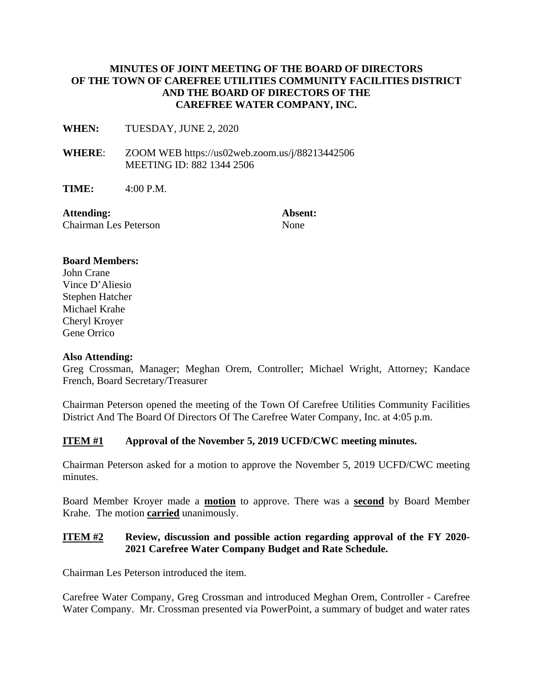### **MINUTES OF JOINT MEETING OF THE BOARD OF DIRECTORS OF THE TOWN OF CAREFREE UTILITIES COMMUNITY FACILITIES DISTRICT AND THE BOARD OF DIRECTORS OF THE CAREFREE WATER COMPANY, INC.**

**WHEN:** TUESDAY, JUNE 2, 2020

**WHERE**: ZOOM WEB https://us02web.zoom.us/j/88213442506 MEETING ID: 882 1344 2506

**TIME:** 4:00 P.M.

Attending: **Absent: Absent:** Chairman Les Peterson None

#### **Board Members:**

John Crane Vince D'Aliesio Stephen Hatcher Michael Krahe Cheryl Kroyer Gene Orrico

#### **Also Attending:**

Greg Crossman, Manager; Meghan Orem, Controller; Michael Wright, Attorney; Kandace French, Board Secretary/Treasurer

Chairman Peterson opened the meeting of the Town Of Carefree Utilities Community Facilities District And The Board Of Directors Of The Carefree Water Company, Inc. at 4:05 p.m.

#### **ITEM #1 Approval of the November 5, 2019 UCFD/CWC meeting minutes.**

Chairman Peterson asked for a motion to approve the November 5, 2019 UCFD/CWC meeting minutes.

Board Member Kroyer made a **motion** to approve. There was a **second** by Board Member Krahe. The motion **carried** unanimously.

### **ITEM #2 Review, discussion and possible action regarding approval of the FY 2020- 2021 Carefree Water Company Budget and Rate Schedule.**

Chairman Les Peterson introduced the item.

Carefree Water Company, Greg Crossman and introduced Meghan Orem, Controller - Carefree Water Company. Mr. Crossman presented via PowerPoint, a summary of budget and water rates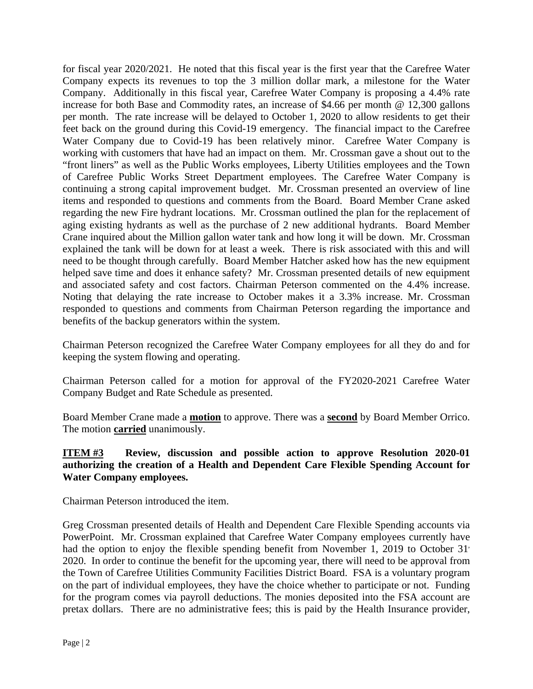for fiscal year 2020/2021. He noted that this fiscal year is the first year that the Carefree Water Company expects its revenues to top the 3 million dollar mark, a milestone for the Water Company. Additionally in this fiscal year, Carefree Water Company is proposing a 4.4% rate increase for both Base and Commodity rates, an increase of \$4.66 per month @ 12,300 gallons per month. The rate increase will be delayed to October 1, 2020 to allow residents to get their feet back on the ground during this Covid-19 emergency. The financial impact to the Carefree Water Company due to Covid-19 has been relatively minor. Carefree Water Company is working with customers that have had an impact on them. Mr. Crossman gave a shout out to the "front liners" as well as the Public Works employees, Liberty Utilities employees and the Town of Carefree Public Works Street Department employees. The Carefree Water Company is continuing a strong capital improvement budget. Mr. Crossman presented an overview of line items and responded to questions and comments from the Board. Board Member Crane asked regarding the new Fire hydrant locations. Mr. Crossman outlined the plan for the replacement of aging existing hydrants as well as the purchase of 2 new additional hydrants. Board Member Crane inquired about the Million gallon water tank and how long it will be down. Mr. Crossman explained the tank will be down for at least a week. There is risk associated with this and will need to be thought through carefully. Board Member Hatcher asked how has the new equipment helped save time and does it enhance safety? Mr. Crossman presented details of new equipment and associated safety and cost factors. Chairman Peterson commented on the 4.4% increase. Noting that delaying the rate increase to October makes it a 3.3% increase. Mr. Crossman responded to questions and comments from Chairman Peterson regarding the importance and benefits of the backup generators within the system.

Chairman Peterson recognized the Carefree Water Company employees for all they do and for keeping the system flowing and operating.

Chairman Peterson called for a motion for approval of the FY2020-2021 Carefree Water Company Budget and Rate Schedule as presented.

Board Member Crane made a **motion** to approve. There was a **second** by Board Member Orrico. The motion **carried** unanimously.

### **ITEM #3 Review, discussion and possible action to approve Resolution 2020-01 authorizing the creation of a Health and Dependent Care Flexible Spending Account for Water Company employees.**

Chairman Peterson introduced the item.

Greg Crossman presented details of Health and Dependent Care Flexible Spending accounts via PowerPoint. Mr. Crossman explained that Carefree Water Company employees currently have had the option to enjoy the flexible spending benefit from November 1, 2019 to October 31<sup>,</sup> 2020. In order to continue the benefit for the upcoming year, there will need to be approval from the Town of Carefree Utilities Community Facilities District Board. FSA is a voluntary program on the part of individual employees, they have the choice whether to participate or not. Funding for the program comes via payroll deductions. The monies deposited into the FSA account are pretax dollars. There are no administrative fees; this is paid by the Health Insurance provider,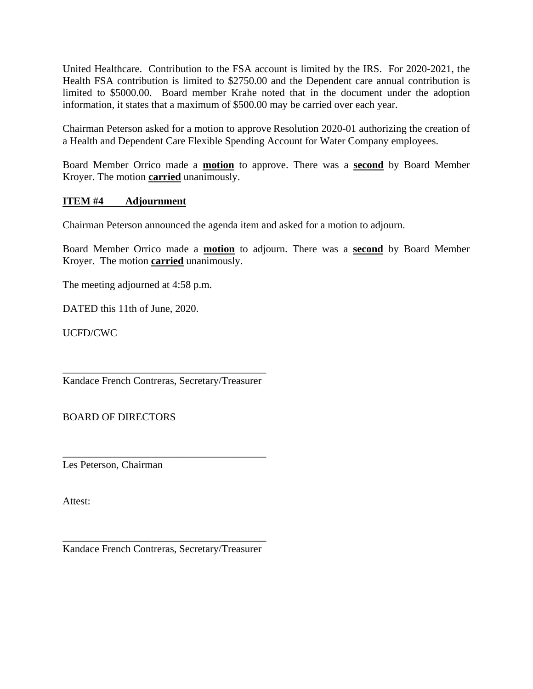United Healthcare. Contribution to the FSA account is limited by the IRS. For 2020-2021, the Health FSA contribution is limited to \$2750.00 and the Dependent care annual contribution is limited to \$5000.00. Board member Krahe noted that in the document under the adoption information, it states that a maximum of \$500.00 may be carried over each year.

Chairman Peterson asked for a motion to approve Resolution 2020-01 authorizing the creation of a Health and Dependent Care Flexible Spending Account for Water Company employees.

Board Member Orrico made a **motion** to approve. There was a **second** by Board Member Kroyer. The motion **carried** unanimously.

## **ITEM #4 Adjournment**

Chairman Peterson announced the agenda item and asked for a motion to adjourn.

Board Member Orrico made a **motion** to adjourn. There was a **second** by Board Member Kroyer. The motion **carried** unanimously.

The meeting adjourned at 4:58 p.m.

DATED this 11th of June, 2020.

UCFD/CWC

\_\_\_\_\_\_\_\_\_\_\_\_\_\_\_\_\_\_\_\_\_\_\_\_\_\_\_\_\_\_\_\_\_\_\_\_\_\_\_ Kandace French Contreras, Secretary/Treasurer

\_\_\_\_\_\_\_\_\_\_\_\_\_\_\_\_\_\_\_\_\_\_\_\_\_\_\_\_\_\_\_\_\_\_\_\_\_\_\_

BOARD OF DIRECTORS

Les Peterson, Chairman

Attest:

\_\_\_\_\_\_\_\_\_\_\_\_\_\_\_\_\_\_\_\_\_\_\_\_\_\_\_\_\_\_\_\_\_\_\_\_\_\_\_ Kandace French Contreras, Secretary/Treasurer